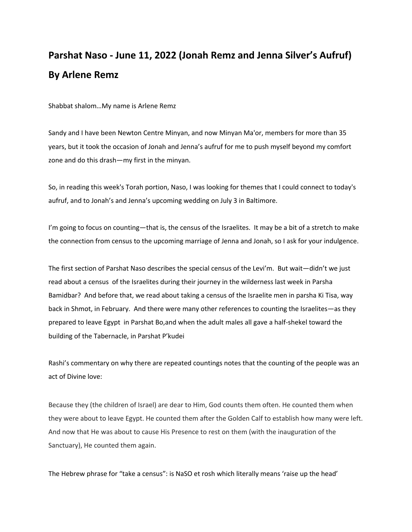## **Parshat Naso - June 11, 2022 (Jonah Remz and Jenna Silver's Aufruf) By Arlene Remz**

Shabbat shalom…My name is Arlene Remz

Sandy and I have been Newton Centre Minyan, and now Minyan Ma'or, members for more than 35 years, but it took the occasion of Jonah and Jenna's aufruf for me to push myself beyond my comfort zone and do this drash—my first in the minyan.

So, in reading this week's Torah portion, Naso, I was looking for themes that I could connect to today's aufruf, and to Jonah's and Jenna's upcoming wedding on July 3 in Baltimore.

I'm going to focus on counting—that is, the census of the Israelites. It may be a bit of a stretch to make the connection from census to the upcoming marriage of Jenna and Jonah, so I ask for your indulgence.

The first section of Parshat Naso describes the special census of the Levi'm. But wait—didn't we just read about a census of the Israelites during their journey in the wilderness last week in Parsha Bamidbar? And before that, we read about taking a census of the Israelite men in parsha Ki Tisa, way back in Shmot, in February. And there were many other references to counting the Israelites—as they prepared to leave Egypt in Parshat Bo,and when the adult males all gave a half-shekel toward the building of the Tabernacle, in Parshat P'kudei

Rashi's commentary on why there are repeated countings notes that the counting of the people was an act of Divine love:

Because they (the children of Israel) are dear to Him, God counts them often. He counted them when they were about to leave Egypt. He counted them after the Golden Calf to establish how many were left. And now that He was about to cause His Presence to rest on them (with the inauguration of the Sanctuary), He counted them again.

The Hebrew phrase for "take a census": is NaSO et rosh which literally means 'raise up the head'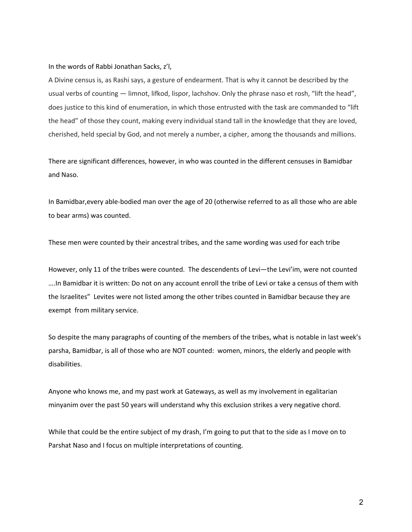In the words of Rabbi Jonathan Sacks, z'l,

A Divine census is, as Rashi says, a gesture of endearment. That is why it cannot be described by the usual verbs of counting — limnot, lifkod, lispor, lachshov. Only the phrase naso et rosh, "lift the head", does justice to this kind of enumeration, in which those entrusted with the task are commanded to "lift the head" of those they count, making every individual stand tall in the knowledge that they are loved, cherished, held special by God, and not merely a number, a cipher, among the thousands and millions.

There are significant differences, however, in who was counted in the different censuses in Bamidbar and Naso.

In Bamidbar,every able-bodied man over the age of 20 (otherwise referred to as all those who are able to bear arms) was counted.

These men were counted by their ancestral tribes, and the same wording was used for each tribe

However, only 11 of the tribes were counted. The descendents of Levi-the Levi'im, were not counted ….In Bamidbar it is written: Do not on any account enroll the tribe of Levi or take a census of them with the Israelites" Levites were not listed among the other tribes counted in Bamidbar because they are exempt from military service.

So despite the many paragraphs of counting of the members of the tribes, what is notable in last week's parsha, Bamidbar, is all of those who are NOT counted: women, minors, the elderly and people with disabilities.

Anyone who knows me, and my past work at Gateways, as well as my involvement in egalitarian minyanim over the past 50 years will understand why this exclusion strikes a very negative chord.

While that could be the entire subject of my drash, I'm going to put that to the side as I move on to Parshat Naso and I focus on multiple interpretations of counting.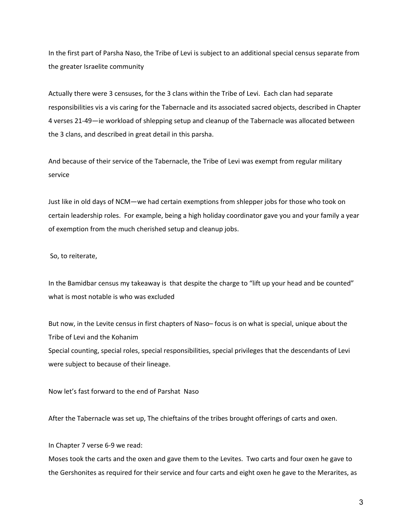In the first part of Parsha Naso, the Tribe of Levi is subject to an additional special census separate from the greater Israelite community

Actually there were 3 censuses, for the 3 clans within the Tribe of Levi. Each clan had separate responsibilities vis a vis caring for the Tabernacle and its associated sacred objects, described in Chapter 4 verses 21-49—ie workload of shlepping setup and cleanup of the Tabernacle was allocated between the 3 clans, and described in great detail in this parsha.

And because of their service of the Tabernacle, the Tribe of Levi was exempt from regular military service

Just like in old days of NCM—we had certain exemptions from shlepper jobs for those who took on certain leadership roles. For example, being a high holiday coordinator gave you and your family a year of exemption from the much cherished setup and cleanup jobs.

So, to reiterate,

In the Bamidbar census my takeaway is that despite the charge to "lift up your head and be counted" what is most notable is who was excluded

But now, in the Levite census in first chapters of Naso– focus is on what is special, unique about the Tribe of Levi and the Kohanim

Special counting, special roles, special responsibilities, special privileges that the descendants of Levi were subject to because of their lineage.

Now let's fast forward to the end of Parshat Naso

After the Tabernacle was set up, The chieftains of the tribes brought offerings of carts and oxen.

In Chapter 7 verse 6-9 we read:

Moses took the carts and the oxen and gave them to the Levites. Two carts and four oxen he gave to the Gershonites as required for their service and four carts and eight oxen he gave to the Merarites, as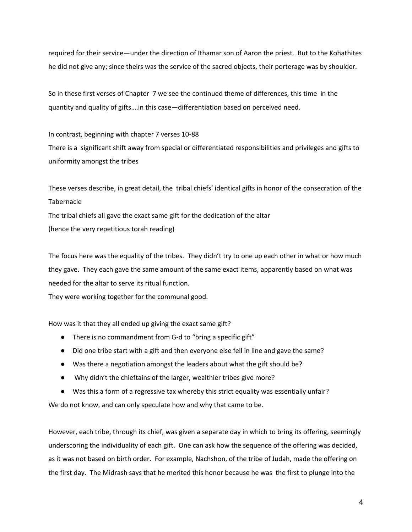required for their service—under the direction of Ithamar son of Aaron the priest. But to the Kohathites he did not give any; since theirs was the service of the sacred objects, their porterage was by shoulder.

So in these first verses of Chapter 7 we see the continued theme of differences, this time in the quantity and quality of gifts….in this case—differentiation based on perceived need.

In contrast, beginning with chapter 7 verses 10-88 There is a significant shift away from special or differentiated responsibilities and privileges and gifts to uniformity amongst the tribes

These verses describe, in great detail, the tribal chiefs' identical gifts in honor of the consecration of the Tabernacle The tribal chiefs all gave the exact same gift for the dedication of the altar

(hence the very repetitious torah reading)

The focus here was the equality of the tribes. They didn't try to one up each other in what or how much they gave. They each gave the same amount of the same exact items, apparently based on what was needed for the altar to serve its ritual function.

They were working together for the communal good.

How was it that they all ended up giving the exact same gift?

- There is no commandment from G-d to "bring a specific gift"
- Did one tribe start with a gift and then everyone else fell in line and gave the same?
- Was there a negotiation amongst the leaders about what the gift should be?
- Why didn't the chieftains of the larger, wealthier tribes give more?
- Was this a form of a regressive tax whereby this strict equality was essentially unfair?

We do not know, and can only speculate how and why that came to be.

However, each tribe, through its chief, was given a separate day in which to bring its offering, seemingly underscoring the individuality of each gift. One can ask how the sequence of the offering was decided, as it was not based on birth order. For example, Nachshon, of the tribe of Judah, made the offering on the first day. The Midrash says that he merited this honor because he was the first to plunge into the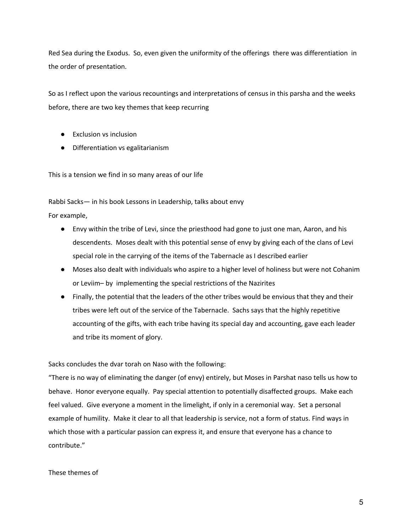Red Sea during the Exodus. So, even given the uniformity of the offerings there was differentiation in the order of presentation.

So as I reflect upon the various recountings and interpretations of census in this parsha and the weeks before, there are two key themes that keep recurring

- Exclusion vs inclusion
- Differentiation vs egalitarianism

This is a tension we find in so many areas of our life

Rabbi Sacks— in his book Lessons in Leadership, talks about envy

For example,

- Envy within the tribe of Levi, since the priesthood had gone to just one man, Aaron, and his descendents. Moses dealt with this potential sense of envy by giving each of the clans of Levi special role in the carrying of the items of the Tabernacle as I described earlier
- Moses also dealt with individuals who aspire to a higher level of holiness but were not Cohanim or Leviim– by implementing the special restrictions of the Nazirites
- Finally, the potential that the leaders of the other tribes would be envious that they and their tribes were left out of the service of the Tabernacle. Sachs says that the highly repetitive accounting of the gifts, with each tribe having its special day and accounting, gave each leader and tribe its moment of glory.

Sacks concludes the dvar torah on Naso with the following:

"There is no way of eliminating the danger (of envy) entirely, but Moses in Parshat naso tells us how to behave. Honor everyone equally. Pay special attention to potentially disaffected groups. Make each feel valued. Give everyone a moment in the limelight, if only in a ceremonial way. Set a personal example of humility. Make it clear to all that leadership is service, not a form of status. Find ways in which those with a particular passion can express it, and ensure that everyone has a chance to contribute."

## These themes of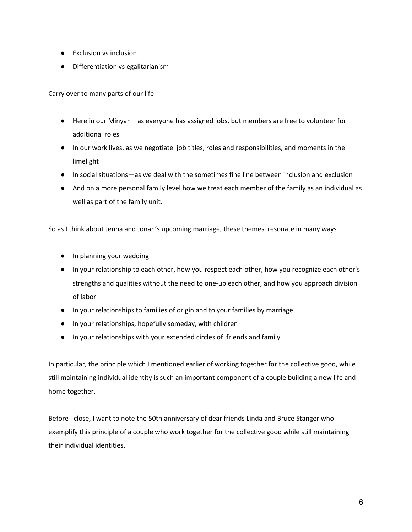- Exclusion vs inclusion
- Differentiation vs egalitarianism

Carry over to many parts of our life

- Here in our Minyan—as everyone has assigned jobs, but members are free to volunteer for additional roles
- In our work lives, as we negotiate job titles, roles and responsibilities, and moments in the limelight
- In social situations—as we deal with the sometimes fine line between inclusion and exclusion
- And on a more personal family level how we treat each member of the family as an individual as well as part of the family unit.

So as I think about Jenna and Jonah's upcoming marriage, these themes resonate in many ways

- In planning your wedding
- In your relationship to each other, how you respect each other, how you recognize each other's strengths and qualities without the need to one-up each other, and how you approach division of labor
- In your relationships to families of origin and to your families by marriage
- In your relationships, hopefully someday, with children
- In your relationships with your extended circles of friends and family

In particular, the principle which I mentioned earlier of working together for the collective good, while still maintaining individual identity is such an important component of a couple building a new life and home together.

Before I close, I want to note the 50th anniversary of dear friends Linda and Bruce Stanger who exemplify this principle of a couple who work together for the collective good while still maintaining their individual identities.